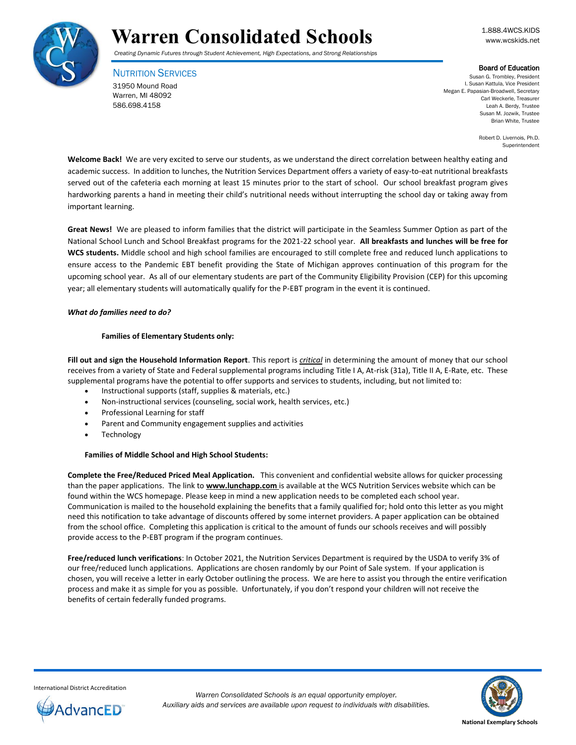

*Creating Dynamic Futures through Student Achievement, High Expectations, and Strong Relationships*

NUTRITION SERVICES 31950 Mound Road Warren, MI 48092 586.698.4158

Board of Education

Susan G. Trombley, President I. Susan Kattula, Vice President Megan E. Papasian-Broadwell, Secretary Carl Weckerle, Treasurer Leah A. Berdy, Trustee Susan M. Jozwik, Trustee Brian White, Trustee

> Robert D. Livernois, Ph.D. Superintendent

**Welcome Back!** We are very excited to serve our students, as we understand the direct correlation between healthy eating and academic success. In addition to lunches, the Nutrition Services Department offers a variety of easy-to-eat nutritional breakfasts served out of the cafeteria each morning at least 15 minutes prior to the start of school. Our school breakfast program gives hardworking parents a hand in meeting their child's nutritional needs without interrupting the school day or taking away from important learning.

**Great News!** We are pleased to inform families that the district will participate in the Seamless Summer Option as part of the National School Lunch and School Breakfast programs for the 2021-22 school year. **All breakfasts and lunches will be free for WCS students.** Middle school and high school families are encouraged to still complete free and reduced lunch applications to ensure access to the Pandemic EBT benefit providing the State of Michigan approves continuation of this program for the upcoming school year. As all of our elementary students are part of the Community Eligibility Provision (CEP) for this upcoming year; all elementary students will automatically qualify for the P-EBT program in the event it is continued.

## *What do families need to do?*

## **Families of Elementary Students only:**

**Fill out and sign the Household Information Report**. This report is *critical* in determining the amount of money that our school receives from a variety of State and Federal supplemental programs including Title I A, At-risk (31a), Title II A, E-Rate, etc. These supplemental programs have the potential to offer supports and services to students, including, but not limited to:

- Instructional supports (staff, supplies & materials, etc.)
- Non-instructional services (counseling, social work, health services, etc.)
- Professional Learning for staff
- Parent and Community engagement supplies and activities
- Technology

## **Families of Middle School and High School Students:**

**Complete the Free/Reduced Priced Meal Application.** This convenient and confidential website allows for quicker processing than the paper applications. The link to **www.lunchapp.com** is available at the WCS Nutrition Services website which can be found within the WCS homepage. Please keep in mind a new application needs to be completed each school year. Communication is mailed to the household explaining the benefits that a family qualified for; hold onto this letter as you might need this notification to take advantage of discounts offered by some internet providers. A paper application can be obtained from the school office. Completing this application is critical to the amount of funds our schools receives and will possibly provide access to the P-EBT program if the program continues.

**Free/reduced lunch verifications**: In October 2021, the Nutrition Services Department is required by the USDA to verify 3% of our free/reduced lunch applications. Applications are chosen randomly by our Point of Sale system. If your application is chosen, you will receive a letter in early October outlining the process. We are here to assist you through the entire verification process and make it as simple for you as possible. Unfortunately, if you don't respond your children will not receive the benefits of certain federally funded programs.

International District Accreditation